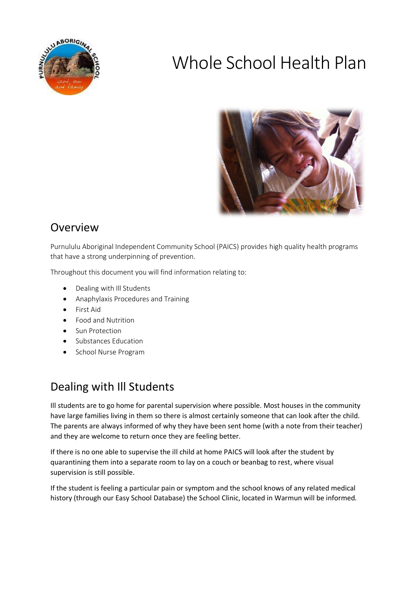

# Whole School Health Plan



# Overview

Purnululu Aboriginal Independent Community School (PAICS) provides high quality health programs that have a strong underpinning of prevention.

Throughout this document you will find information relating to:

- Dealing with Ill Students
- Anaphylaxis Procedures and Training
- First Aid
- Food and Nutrition
- Sun Protection
- **•** Substances Education
- School Nurse Program

## Dealing with Ill Students

Ill students are to go home for parental supervision where possible. Most houses in the community have large families living in them so there is almost certainly someone that can look after the child. The parents are always informed of why they have been sent home (with a note from their teacher) and they are welcome to return once they are feeling better.

If there is no one able to supervise the ill child at home PAICS will look after the student by quarantining them into a separate room to lay on a couch or beanbag to rest, where visual supervision is still possible.

If the student is feeling a particular pain or symptom and the school knows of any related medical history (through our Easy School Database) the School Clinic, located in Warmun will be informed.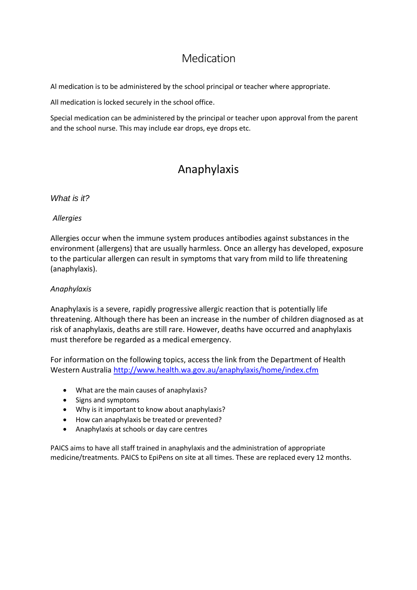### Medication

Al medication is to be administered by the school principal or teacher where appropriate.

All medication is locked securely in the school office.

Special medication can be administered by the principal or teacher upon approval from the parent and the school nurse. This may include ear drops, eye drops etc.

# Anaphylaxis

#### *What is it?*

#### *Allergies*

Allergies occur when the immune system produces antibodies against substances in the environment (allergens) that are usually harmless. Once an allergy has developed, exposure to the particular allergen can result in symptoms that vary from mild to life threatening (anaphylaxis).

#### *Anaphylaxis*

Anaphylaxis is a severe, rapidly progressive allergic reaction that is potentially life threatening. Although there has been an increase in the number of children diagnosed as at risk of anaphylaxis, deaths are still rare. However, deaths have occurred and anaphylaxis must therefore be regarded as a medical emergency.

For information on the following topics, access the link from the Department of Health Western Australia<http://www.health.wa.gov.au/anaphylaxis/home/index.cfm>

- What are the main causes of anaphylaxis?
- Signs and symptoms
- Why is it important to know about anaphylaxis?
- How can anaphylaxis be treated or prevented?
- Anaphylaxis at schools or day care centres

PAICS aims to have all staff trained in anaphylaxis and the administration of appropriate medicine/treatments. PAICS to EpiPens on site at all times. These are replaced every 12 months.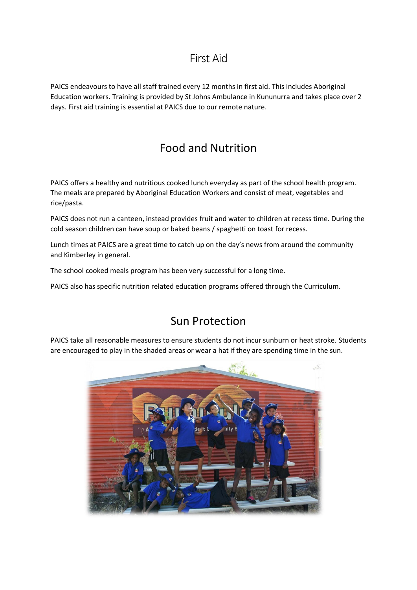### First Aid

PAICS endeavours to have all staff trained every 12 months in first aid. This includes Aboriginal Education workers. Training is provided by St Johns Ambulance in Kununurra and takes place over 2 days. First aid training is essential at PAICS due to our remote nature.

# Food and Nutrition

PAICS offers a healthy and nutritious cooked lunch everyday as part of the school health program. The meals are prepared by Aboriginal Education Workers and consist of meat, vegetables and rice/pasta.

PAICS does not run a canteen, instead provides fruit and water to children at recess time. During the cold season children can have soup or baked beans / spaghetti on toast for recess.

Lunch times at PAICS are a great time to catch up on the day's news from around the community and Kimberley in general.

The school cooked meals program has been very successful for a long time.

PAICS also has specific nutrition related education programs offered through the Curriculum.

### Sun Protection

PAICS take all reasonable measures to ensure students do not incur sunburn or heat stroke. Students are encouraged to play in the shaded areas or wear a hat if they are spending time in the sun.